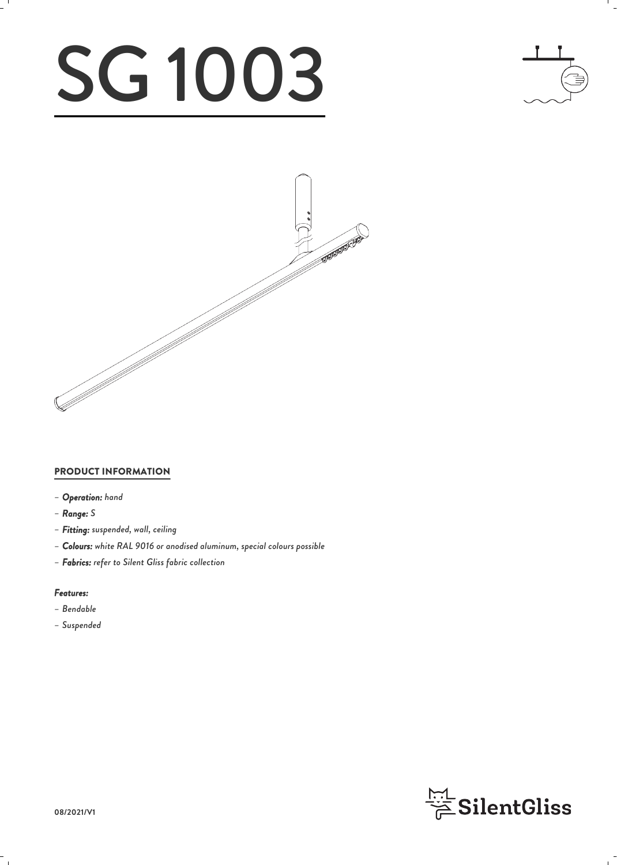# SG 1003





### PRODUCT INFORMATION

- *– Operation: hand*
- *– Range: S*
- *– Fitting: suspended, wall, ceiling*
- *– Colours: white RAL 9016 or anodised aluminum, special colours possible*
- *– Fabrics: refer to Silent Gliss fabric collection*

#### *Features:*

- *– Bendable*
- *– Suspended*

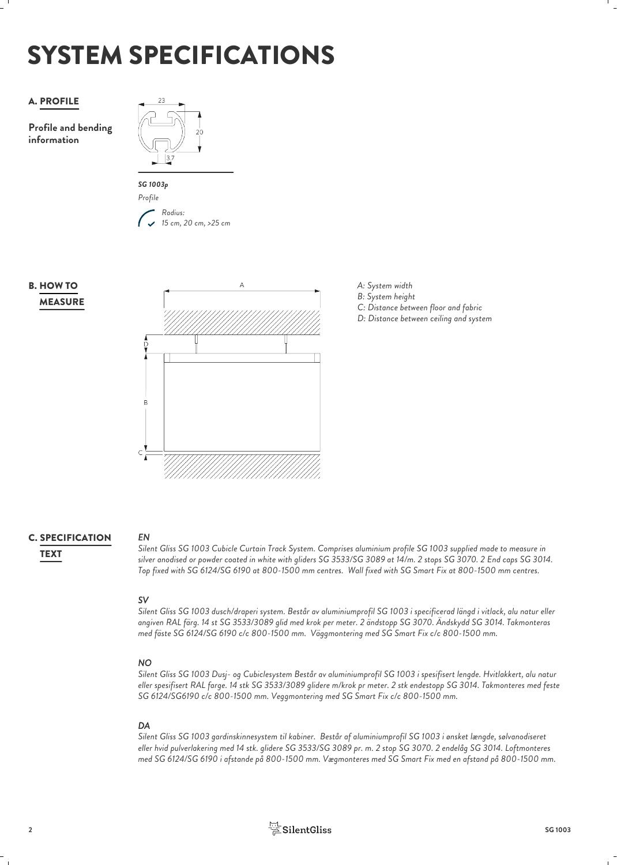# SYSTEM SPECIFICATIONS

### A. PROFILE

**Profile and bending information**





### **MEASURE B. HOW TO**



- *A: System width*
- *B: System height*
- *C: Distance between floor and fabric*
- *D: Distance between ceiling and system*

### **C. SPECIFICATION** EN

*EN*

*Silent Gliss SG 1003 Cubicle Curtain Track System. Comprises aluminium profile SG 1003 supplied made to measure in silver anodised or powder coated in white with gliders SG 3533/SG 3089 at 14/m. 2 stops SG 3070. 2 End caps SG 3014.* TEXT *Top fixed with SG 6124/SG 6190 at 800-1500 mm centres. Wall fixed with SG Smart Fix at 800-1500 mm centres.*

*SV Silent Gliss SG 1003 dusch/draperi system. Består av aluminiumprofil SG 1003 i specificerad längd i vitlack, alu natur eller angiven RAL färg. 14 st SG 3533/3089 glid med krok per meter. 2 ändstopp SG 3070. Ändskydd SG 3014. Takmonteras med fäste SG 6124/SG 6190 c/c 800-1500 mm. Väggmontering med SG Smart Fix c/c 800-1500 mm.* 

### *NO*

*Silent Gliss SG 1003 Dusj- og Cubiclesystem Består av aluminiumprofil SG 1003 i spesifisert lengde. Hvitlakkert, alu natur eller spesifisert RAL farge. 14 stk SG 3533/3089 glidere m/krok pr meter. 2 stk endestopp SG 3014. Takmonteres med feste SG 6124/SG6190 c/c 800-1500 mm. Veggmontering med SG Smart Fix c/c 800-1500 mm.*

### *DA*

*Silent Gliss SG 1003 gardinskinnesystem til kabiner. Består af aluminiumprofil SG 1003 i ønsket længde, sølvanodiseret eller hvid pulverlakering med 14 stk. glidere SG 3533/SG 3089 pr. m. 2 stop SG 3070. 2 endelåg SG 3014. Loftmonteres med SG 6124/SG 6190 i afstande på 800-1500 mm. Vægmonteres med SG Smart Fix med en afstand på 800-1500 mm.*

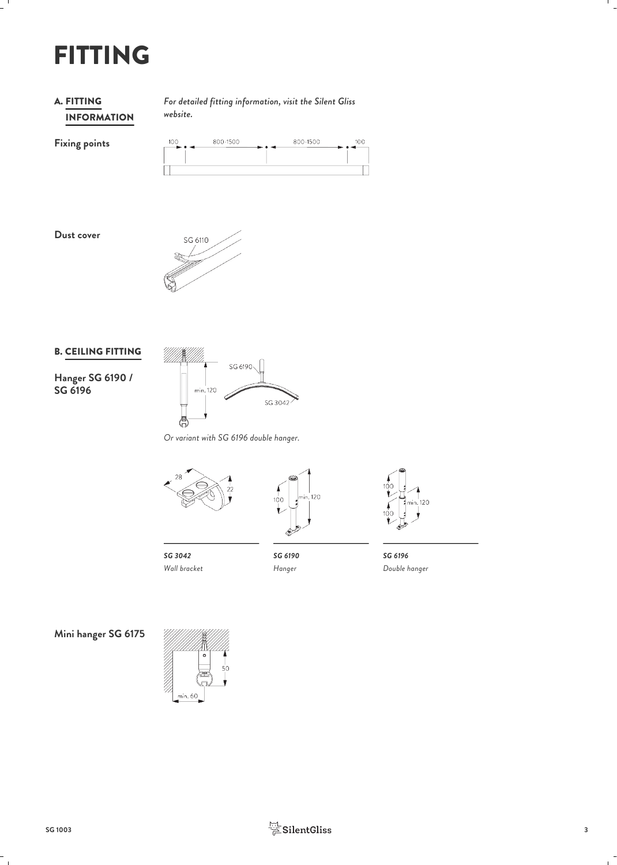## FITTING

### INFORMATION **A. FITTING**

*For detailed fitting information, visit the Silent Gliss* FITTING *website.*

**Fixing points**

| 100<br>-- | 800-1500 | 800-1500 | 100 |
|-----------|----------|----------|-----|
|           |          |          |     |
|           |          |          |     |



### B. CEILING FITTING



*Or variant with SG 6196 double hanger.*







*SG 3042 Wall bracket*

*Hanger*

*SG 6190 SG 6196 Double hanger*

**Mini hanger SG 6175**



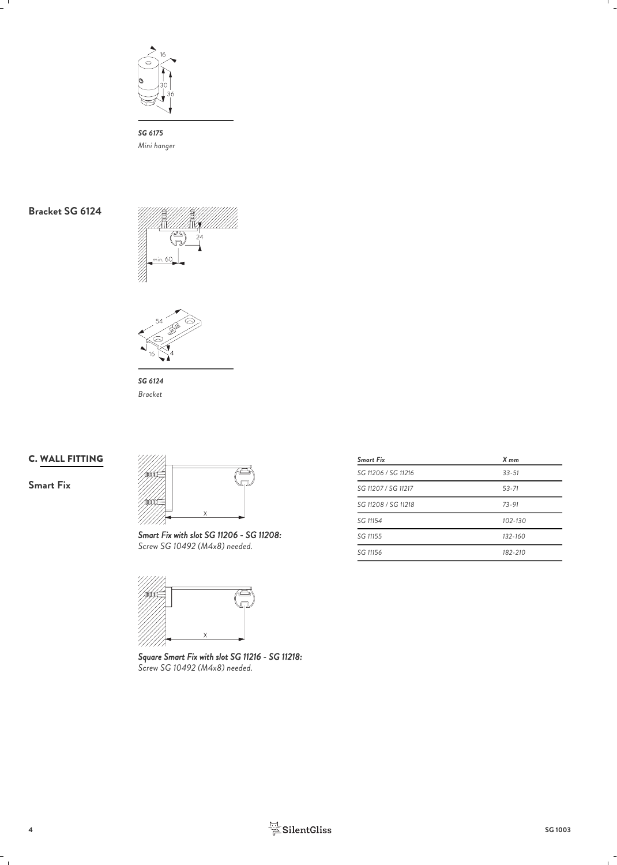

*SG 6175 Mini hanger*





*SG 6124 Bracket*

### C. WALL FITTING

**Smart Fix**



*Smart Fix with slot SG 11206 - SG 11208: Screw SG 10492 (M4x8) needed.*



*Square Smart Fix with slot SG 11216 - SG 11218: Screw SG 10492 (M4x8) needed.*

| Smart Fix           | X mm        |  |
|---------------------|-------------|--|
| SG 11206 / SG 11216 | $33 - 51$   |  |
| SG 11207 / SG 11217 | $53 - 71$   |  |
| SG 11208 / SG 11218 | $73 - 91$   |  |
| SG 11154            | $102 - 130$ |  |
| SG 11155            | $132 - 160$ |  |
| SG 11156            | 182-210     |  |
|                     |             |  |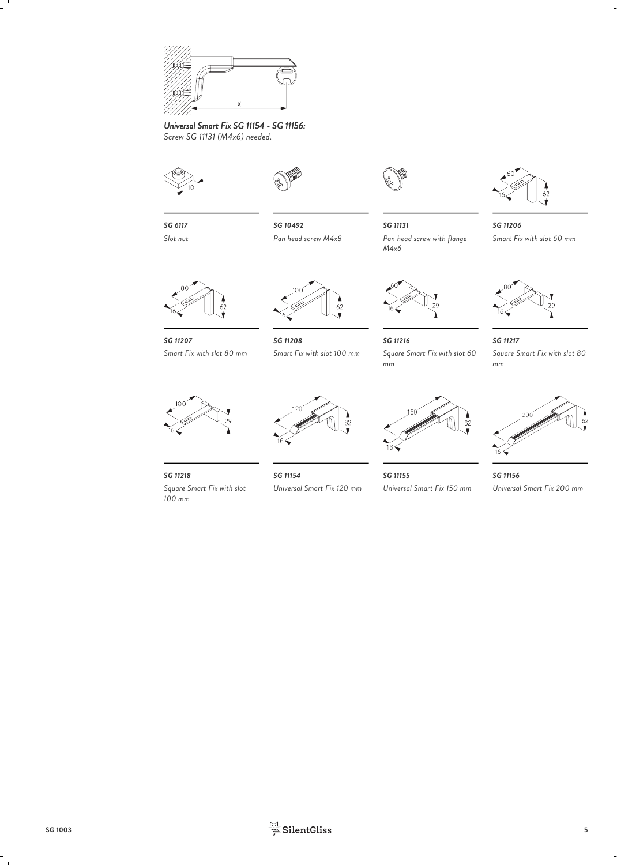

*Universal Smart Fix SG 11154 - SG 11156: Screw SG 11131 (M4x6) needed.*



*Slot nut*



*SG 6117 SG 10492*



*Pan head screw M4x8 Pan head screw with flange SG 11131 M4x6*



*SG 11207 SG 11208* Square Smart Fix with slot 60 *SG 11216 SG 11217 Square Smart Fix with slot 60 Square Smart Fix with slot 80 mm*



*SG 11206*

*Smart Fix with slot 60 mm*



*Smart Fix with slot 80 mm*

*SG 11218 100 mm*

*Square Smart Fix with slot*



*SG 11154 Universal Smart Fix 120 mm*



*mm*

*SG 11155 SG 11156 Universal Smart Fix 150 mm Universal Smart Fix 200 mm*

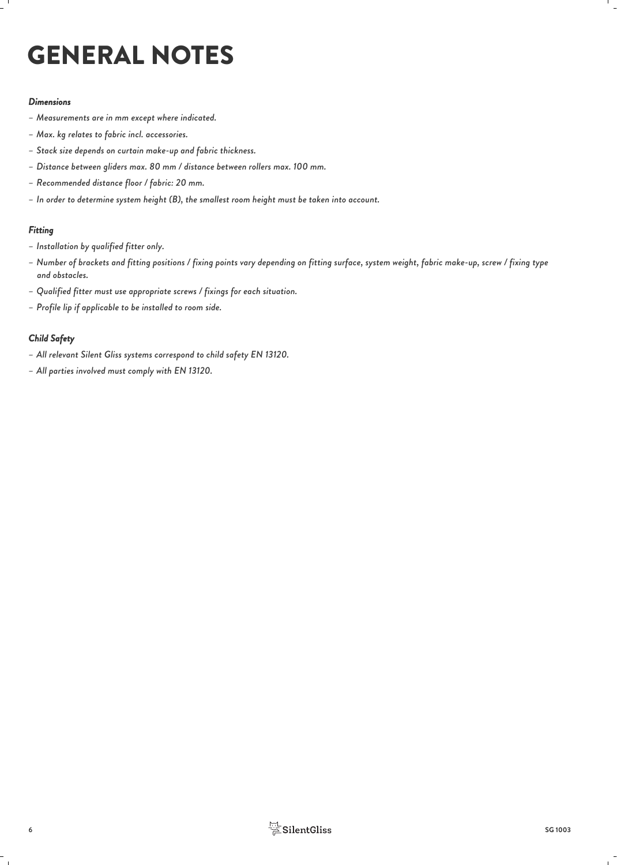# GENERAL NOTES

### *Dimensions*

- *– Measurements are in mm except where indicated.*
- *– Max. kg relates to fabric incl. accessories.*
- *– Stack size depends on curtain make-up and fabric thickness.*
- *– Distance between gliders max. 80 mm / distance between rollers max. 100 mm.*
- *– Recommended distance floor / fabric: 20 mm.*
- *– In order to determine system height (B), the smallest room height must be taken into account.*

### *Fitting*

- *– Installation by qualified fitter only.*
- *– Number of brackets and fitting positions / fixing points vary depending on fitting surface, system weight, fabric make-up, screw / fixing type and obstacles.*
- *– Qualified fitter must use appropriate screws / fixings for each situation.*
- *– Profile lip if applicable to be installed to room side.*

### *Child Safety*

- *– All relevant Silent Gliss systems correspond to child safety EN 13120.*
- *– All parties involved must comply with EN 13120.*

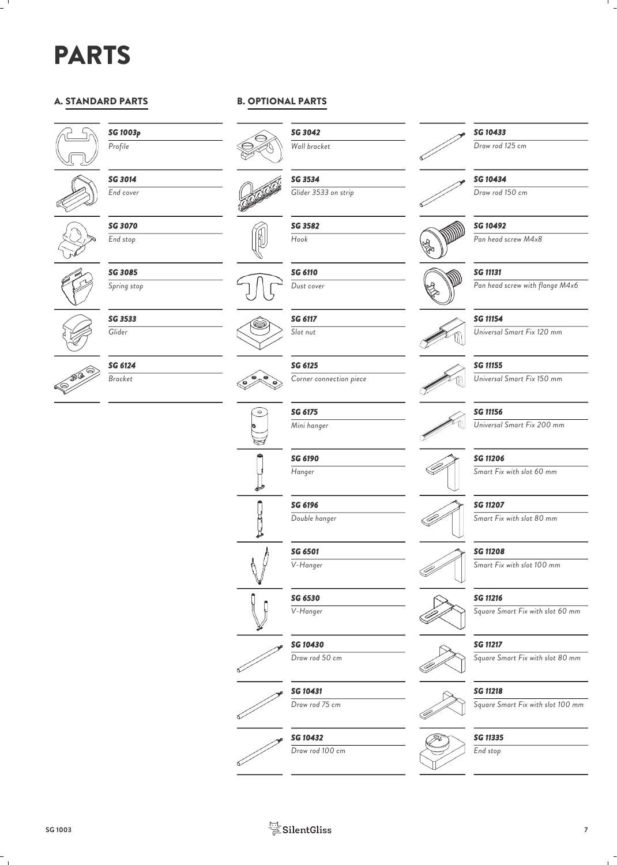## PARTS

### A. STANDARD PARTS



### *SG 1003p*

*Profile*



*SG 3014 End cover*



*SG 3070 End stop*



*SG 3533 Glider*



*SG 6124 Bracket*

B. OPTIONAL PARTS



*SG 3042 Wall bracket*









*SG 6117 Slot nut*

*SG 6125 Corner connection piece*



*SG 6196 Double hanger*

*SG 6501 V-Hanger*

*SG 6530 V-Hanger*

*SG 10430 Draw rod 50 cm*

*SG 10431 Draw rod 75 cm*















*SG 3582 Hook*

*SG 6110 Dust cover*

*SG 3534 Glider 3533 on strip*



*SG 11154 Universal Smart Fix 120 mm*

*Pan head screw with flange M4x6*

*Pan head screw M4x8*



### *SG 11155*

*SG 11156*

*Universal Smart Fix 150 mm*

### *Universal Smart Fix 200 mm*

*SG 11206*

*Smart Fix with slot 60 mm*

*SG 11207 Smart Fix with slot 80 mm*

*SG 11208*

### *Smart Fix with slot 100 mm*

*SG 11216*

*Square Smart Fix with slot 60 mm*

### *SG 11217*

*Square Smart Fix with slot 80 mm*

### *SG 11218*

*Square Smart Fix with slot 100 mm*



*End stop*





*SG 10433 Draw rod 125 cm*

*SG 10434 Draw rod 150 cm*

*SG 10492*

*SG 11131*